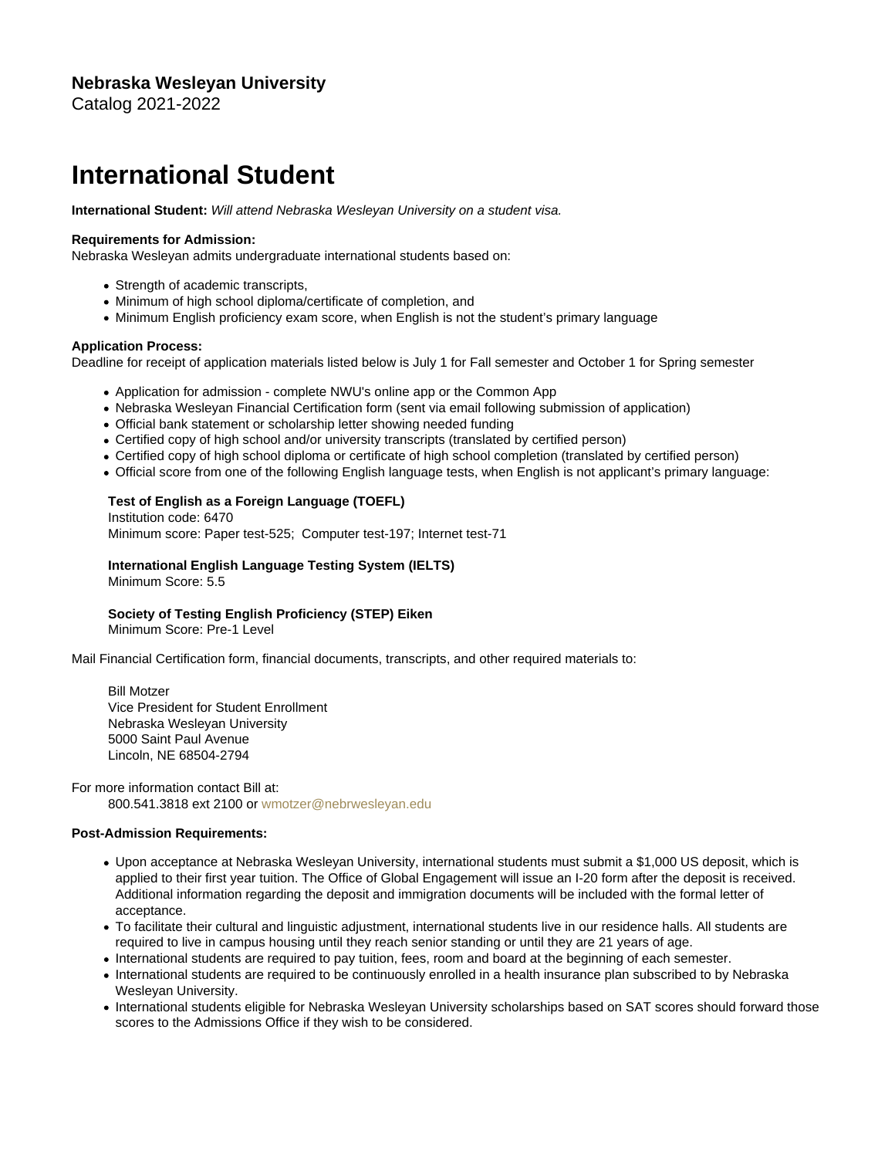## Nebraska Wesleyan University Catalog 2021-2022

## International Student

International Student: Will attend Nebraska Wesleyan University on a student visa.

Requirements for Admission:

Nebraska Wesleyan admits undergraduate international students based on:

- Strength of academic transcripts,
- Minimum of high school diploma/certificate of completion, and
- Minimum English proficiency exam score, when English is not the student's primary language

Application Process:

Deadline for receipt of application materials listed below is July 1 for Fall semester and October 1 for Spring semester

- Application for admission complete NWU's online app or the Common App
- Nebraska Wesleyan Financial Certification form (sent via email following submission of application)
- Official bank statement or scholarship letter showing needed funding
- Certified copy of high school and/or university transcripts (translated by certified person)
- Certified copy of high school diploma or certificate of high school completion (translated by certified person)
- Official score from one of the following English language tests, when English is not applicant's primary language:

 Test of English as a Foreign Language (TOEFL) Institution code: 6470 Minimum score: Paper test-525; Computer test-197; Internet test-71

 International English Language Testing System (IELTS) Minimum Score: 5.5

 Society of Testing English Proficiency (STEP) Eiken Minimum Score: Pre-1 Level

Mail Financial Certification form, financial documents, transcripts, and other required materials to:

 Bill Motzer Vice President for Student Enrollment Nebraska Wesleyan University 5000 Saint Paul Avenue Lincoln, NE 68504-2794

For more information contact Bill at: 800.541.3818 ext 2100 or [wmotzer@nebrwesleyan.edu](mailto:wmotzer@nebrwesleyan.edu)

Post-Admission Requirements:

- Upon acceptance at Nebraska Wesleyan University, international students must submit a \$1,000 US deposit, which is applied to their first year tuition. The Office of Global Engagement will issue an I-20 form after the deposit is received. Additional information regarding the deposit and immigration documents will be included with the formal letter of acceptance.
- To facilitate their cultural and linguistic adjustment, international students live in our residence halls. All students are required to live in campus housing until they reach senior standing or until they are 21 years of age.
- International students are required to pay tuition, fees, room and board at the beginning of each semester.
- International students are required to be continuously enrolled in a health insurance plan subscribed to by Nebraska Wesleyan University.
- International students eligible for Nebraska Wesleyan University scholarships based on SAT scores should forward those scores to the Admissions Office if they wish to be considered.